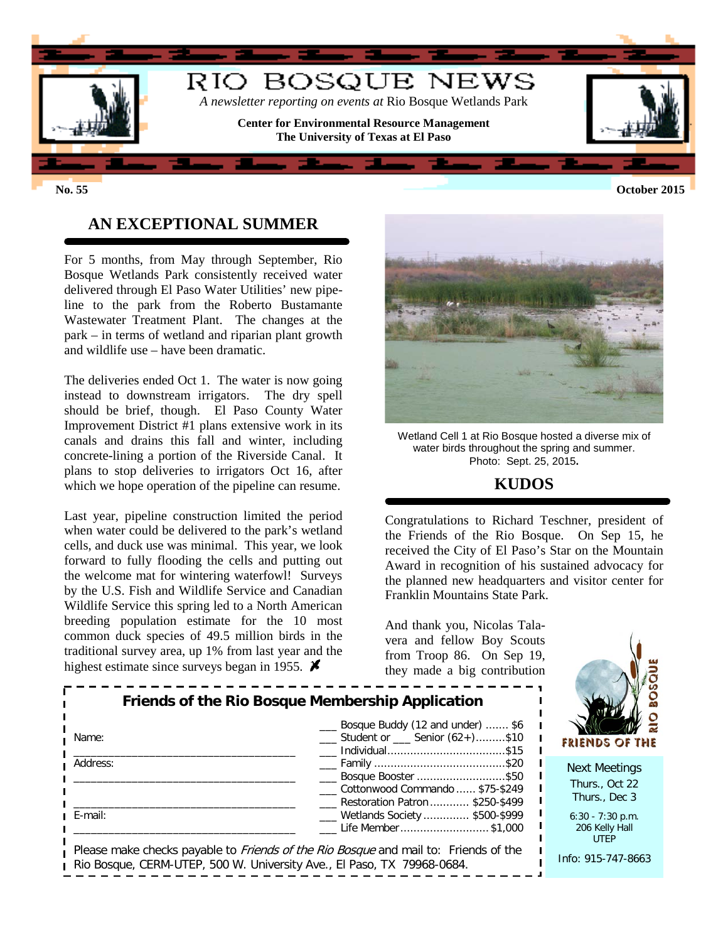

**No. 55 October 2015**

## **AN EXCEPTIONAL SUMMER**

For 5 months, from May through September, Rio Bosque Wetlands Park consistently received water delivered through El Paso Water Utilities' new pipeline to the park from the Roberto Bustamante Wastewater Treatment Plant. The changes at the park – in terms of wetland and riparian plant growth and wildlife use – have been dramatic.

The deliveries ended Oct 1. The water is now going instead to downstream irrigators. The dry spell should be brief, though. El Paso County Water Improvement District #1 plans extensive work in its canals and drains this fall and winter, including concrete-lining a portion of the Riverside Canal. It plans to stop deliveries to irrigators Oct 16, after which we hope operation of the pipeline can resume.

Last year, pipeline construction limited the period when water could be delivered to the park's wetland cells, and duck use was minimal. This year, we look forward to fully flooding the cells and putting out the welcome mat for wintering waterfowl! Surveys by the U.S. Fish and Wildlife Service and Canadian Wildlife Service this spring led to a North American breeding population estimate for the 10 most common duck species of 49.5 million birds in the traditional survey area, up 1% from last year and the highest estimate since surveys began in 1955.  $\blacktriangleright$ 



Wetland Cell 1 at Rio Bosque hosted a diverse mix of water birds throughout the spring and summer. Photo: Sept. 25, 2015**.**

### **KUDOS**

Congratulations to Richard Teschner, president of the Friends of the Rio Bosque. On Sep 15, he received the City of El Paso's Star on the Mountain Award in recognition of his sustained advocacy for the planned new headquarters and visitor center for Franklin Mountains State Park.

And thank you, Nicolas Talavera and fellow Boy Scouts from Troop 86. On Sep 19, they made a big contribution

| Friends of the Rio Bosque Membership Application<br>Name: | <b>FRIENDS OF THE</b>                                                                                                                      |                                                         |  |
|-----------------------------------------------------------|--------------------------------------------------------------------------------------------------------------------------------------------|---------------------------------------------------------|--|
| Address:                                                  | Bosque Booster \$50<br>Cottonwood Commando  \$75-\$249<br>Restoration Patron \$250-\$499                                                   | <b>Next Meetings</b><br>Thurs., Oct 22<br>Thurs., Dec 3 |  |
| E-mail:                                                   | ___ Wetlands Society  \$500-\$999<br>Life Member \$1,000                                                                                   | $6:30 - 7:30$ p.m.<br>206 Kelly Hall<br><b>UTEP</b>     |  |
|                                                           | Please make checks payable to Friends of the Rio Bosque and mail to: Friends of the<br>D' D' OF DILITED FOOILLILL' 'LA FID' TH' TOOLOGICAL | Info: 915-747-8663                                      |  |

Rio Bosque, CERM-UTEP, 500 W. University Ave., El Paso, TX 79968-0684.